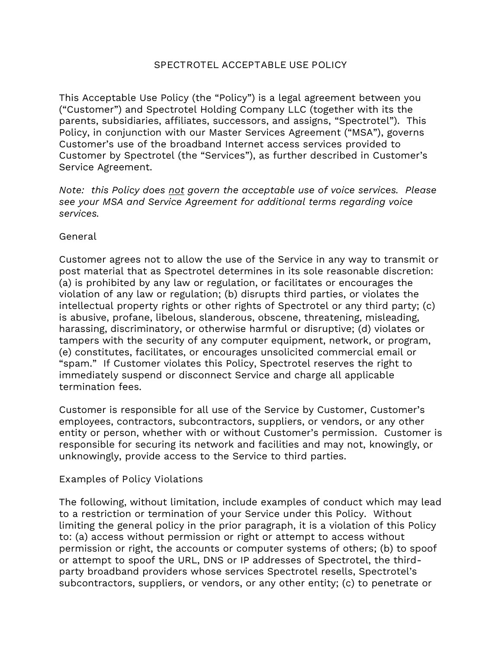# **SPECTROTEL ACCEPTABLE USE POLICY**

This Acceptable Use Policy (the "Policy") is a legal agreement between you ("Customer") and Spectrotel Holding Company LLC (together with its the parents, subsidiaries, affiliates, successors, and assigns, "Spectrotel"). This Policy, in conjunction with our Master Services Agreement ("MSA"), governs Customer's use of the broadband Internet access services provided to Customer by Spectrotel (the "Services"), as further described in Customer's Service Agreement.

*Note: this Policy does not govern the acceptable use of voice services. Please see your MSA and Service Agreement for additional terms regarding voice services.*

## **General**

Customer agrees not to allow the use of the Service in any way to transmit or post material that as Spectrotel determines in its sole reasonable discretion: (a) is prohibited by any law or regulation, or facilitates or encourages the violation of any law or regulation; (b) disrupts third parties, or violates the intellectual property rights or other rights of Spectrotel or any third party; (c) is abusive, profane, libelous, slanderous, obscene, threatening, misleading, harassing, discriminatory, or otherwise harmful or disruptive; (d) violates or tampers with the security of any computer equipment, network, or program, (e) constitutes, facilitates, or encourages unsolicited commercial email or "spam." If Customer violates this Policy, Spectrotel reserves the right to immediately suspend or disconnect Service and charge all applicable termination fees.

Customer is responsible for all use of the Service by Customer, Customer's employees, contractors, subcontractors, suppliers, or vendors, or any other entity or person, whether with or without Customer's permission. Customer is responsible for securing its network and facilities and may not, knowingly, or unknowingly, provide access to the Service to third parties.

## **Examples of Policy Violations**

The following, without limitation, include examples of conduct which may lead to a restriction or termination of your Service under this Policy. Without limiting the general policy in the prior paragraph, it is a violation of this Policy to: (a) access without permission or right or attempt to access without permission or right, the accounts or computer systems of others; (b) to spoof or attempt to spoof the URL, DNS or IP addresses of Spectrotel, the thirdparty broadband providers whose services Spectrotel resells, Spectrotel's subcontractors, suppliers, or vendors, or any other entity; (c) to penetrate or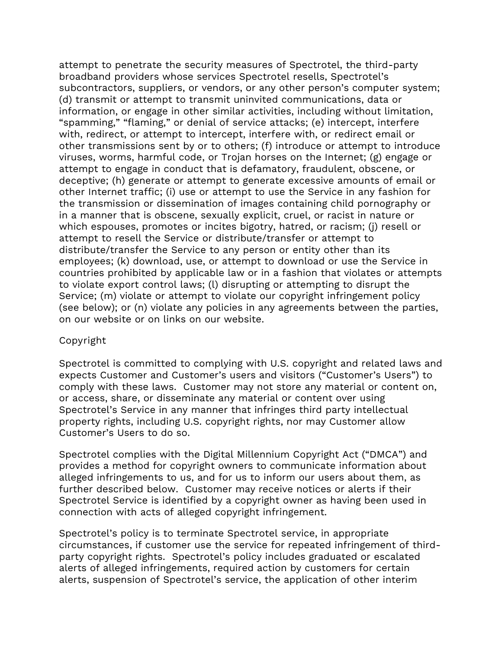attempt to penetrate the security measures of Spectrotel, the third-party broadband providers whose services Spectrotel resells, Spectrotel's subcontractors, suppliers, or vendors, or any other person's computer system; (d) transmit or attempt to transmit uninvited communications, data or information, or engage in other similar activities, including without limitation, "spamming," "flaming," or denial of service attacks; (e) intercept, interfere with, redirect, or attempt to intercept, interfere with, or redirect email or other transmissions sent by or to others; (f) introduce or attempt to introduce viruses, worms, harmful code, or Trojan horses on the Internet; (g) engage or attempt to engage in conduct that is defamatory, fraudulent, obscene, or deceptive; (h) generate or attempt to generate excessive amounts of email or other Internet traffic; (i) use or attempt to use the Service in any fashion for the transmission or dissemination of images containing child pornography or in a manner that is obscene, sexually explicit, cruel, or racist in nature or which espouses, promotes or incites bigotry, hatred, or racism; (j) resell or attempt to resell the Service or distribute/transfer or attempt to distribute/transfer the Service to any person or entity other than its employees; (k) download, use, or attempt to download or use the Service in countries prohibited by applicable law or in a fashion that violates or attempts to violate export control laws; (l) disrupting or attempting to disrupt the Service; (m) violate or attempt to violate our copyright infringement policy (see below); or (n) violate any policies in any agreements between the parties, on our website or on links on our website.

## **Copyright**

Spectrotel is committed to complying with U.S. copyright and related laws and expects Customer and Customer's users and visitors ("Customer's Users") to comply with these laws. Customer may not store any material or content on, or access, share, or disseminate any material or content over using Spectrotel's Service in any manner that infringes third party intellectual property rights, including U.S. copyright rights, nor may Customer allow Customer's Users to do so.

Spectrotel complies with the Digital Millennium Copyright Act ("DMCA") and provides a method for copyright owners to communicate information about alleged infringements to us, and for us to inform our users about them, as further described below. Customer may receive notices or alerts if their Spectrotel Service is identified by a copyright owner as having been used in connection with acts of alleged copyright infringement.

Spectrotel's policy is to terminate Spectrotel service, in appropriate circumstances, if customer use the service for repeated infringement of thirdparty copyright rights. Spectrotel's policy includes graduated or escalated alerts of alleged infringements, required action by customers for certain alerts, suspension of Spectrotel's service, the application of other interim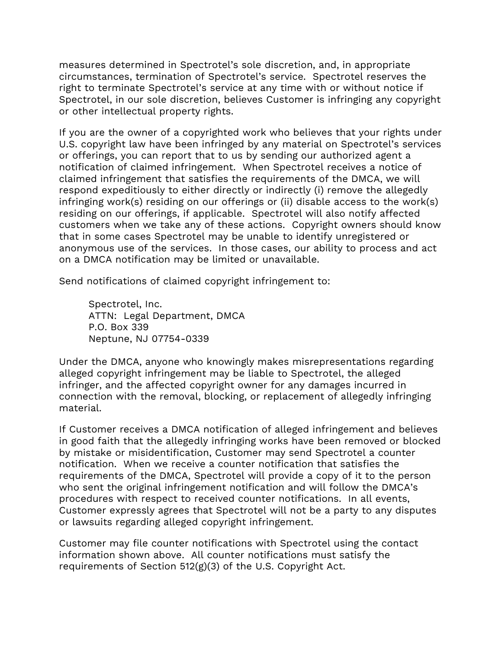measures determined in Spectrotel's sole discretion, and, in appropriate circumstances, termination of Spectrotel's service. Spectrotel reserves the right to terminate Spectrotel's service at any time with or without notice if Spectrotel, in our sole discretion, believes Customer is infringing any copyright or other intellectual property rights.

If you are the owner of a copyrighted work who believes that your rights under U.S. copyright law have been infringed by any material on Spectrotel's services or offerings, you can report that to us by sending our authorized agent a notification of claimed infringement. When Spectrotel receives a notice of claimed infringement that satisfies the requirements of the DMCA, we will respond expeditiously to either directly or indirectly (i) remove the allegedly infringing work(s) residing on our offerings or (ii) disable access to the work(s) residing on our offerings, if applicable. Spectrotel will also notify affected customers when we take any of these actions. Copyright owners should know that in some cases Spectrotel may be unable to identify unregistered or anonymous use of the services. In those cases, our ability to process and act on a DMCA notification may be limited or unavailable.

Send notifications of claimed copyright infringement to:

Spectrotel, Inc. ATTN: Legal Department, DMCA P.O. Box 339 Neptune, NJ 07754-0339

Under the DMCA, anyone who knowingly makes misrepresentations regarding alleged copyright infringement may be liable to Spectrotel, the alleged infringer, and the affected copyright owner for any damages incurred in connection with the removal, blocking, or replacement of allegedly infringing material.

If Customer receives a DMCA notification of alleged infringement and believes in good faith that the allegedly infringing works have been removed or blocked by mistake or misidentification, Customer may send Spectrotel a counter notification. When we receive a counter notification that satisfies the requirements of the DMCA, Spectrotel will provide a copy of it to the person who sent the original infringement notification and will follow the DMCA's procedures with respect to received counter notifications. In all events, Customer expressly agrees that Spectrotel will not be a party to any disputes or lawsuits regarding alleged copyright infringement.

Customer may file counter notifications with Spectrotel using the contact information shown above. All counter notifications must satisfy the requirements of Section 512(g)(3) of the U.S. Copyright Act.